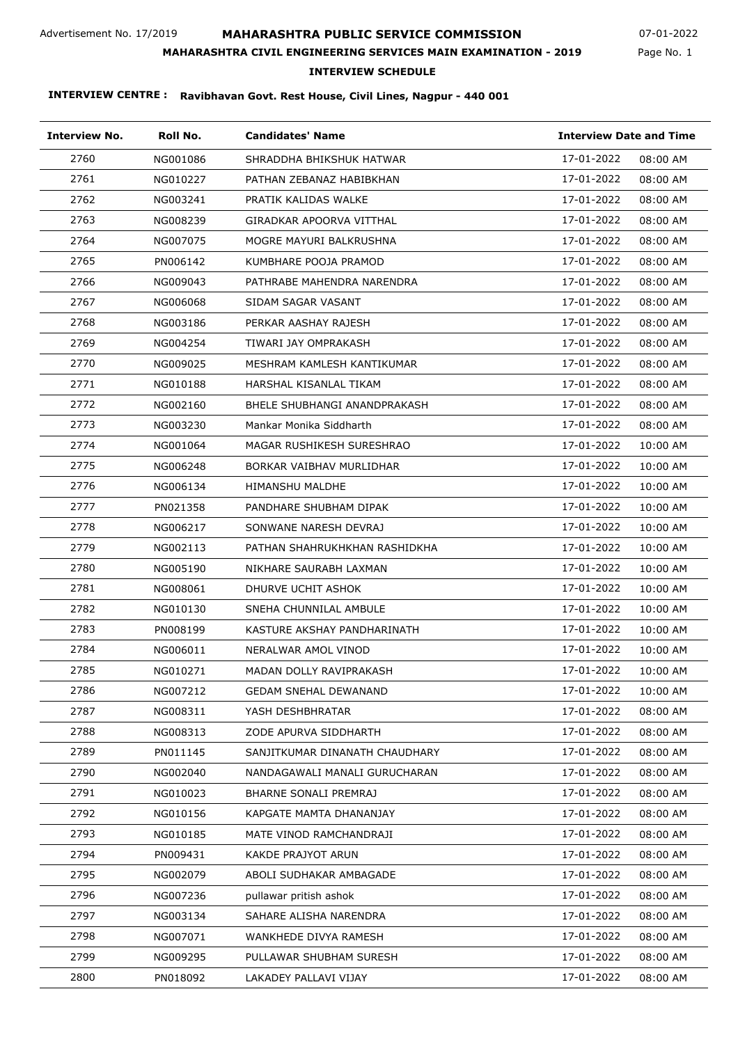## **MAHARASHTRA PUBLIC SERVICE COMMISSION**

Page No. 1 07-01-2022

## **MAHARASHTRA CIVIL ENGINEERING SERVICES MAIN EXAMINATION - 2019**

### **INTERVIEW SCHEDULE**

| <b>Interview No.</b> | Roll No. | <b>Candidates' Name</b>        |            | <b>Interview Date and Time</b> |  |
|----------------------|----------|--------------------------------|------------|--------------------------------|--|
| 2760                 | NG001086 | SHRADDHA BHIKSHUK HATWAR       | 17-01-2022 | 08:00 AM                       |  |
| 2761                 | NG010227 | PATHAN ZEBANAZ HABIBKHAN       | 17-01-2022 | 08:00 AM                       |  |
| 2762                 | NG003241 | PRATIK KALIDAS WALKE           | 17-01-2022 | 08:00 AM                       |  |
| 2763                 | NG008239 | GIRADKAR APOORVA VITTHAL       | 17-01-2022 | 08:00 AM                       |  |
| 2764                 | NG007075 | MOGRE MAYURI BALKRUSHNA        | 17-01-2022 | 08:00 AM                       |  |
| 2765                 | PN006142 | KUMBHARE POOJA PRAMOD          | 17-01-2022 | 08:00 AM                       |  |
| 2766                 | NG009043 | PATHRABE MAHENDRA NARENDRA     | 17-01-2022 | 08:00 AM                       |  |
| 2767                 | NG006068 | SIDAM SAGAR VASANT             | 17-01-2022 | 08:00 AM                       |  |
| 2768                 | NG003186 | PERKAR AASHAY RAJESH           | 17-01-2022 | 08:00 AM                       |  |
| 2769                 | NG004254 | TIWARI JAY OMPRAKASH           | 17-01-2022 | 08:00 AM                       |  |
| 2770                 | NG009025 | MESHRAM KAMLESH KANTIKUMAR     | 17-01-2022 | 08:00 AM                       |  |
| 2771                 | NG010188 | HARSHAL KISANLAL TIKAM         | 17-01-2022 | 08:00 AM                       |  |
| 2772                 | NG002160 | BHELE SHUBHANGI ANANDPRAKASH   | 17-01-2022 | 08:00 AM                       |  |
| 2773                 | NG003230 | Mankar Monika Siddharth        | 17-01-2022 | 08:00 AM                       |  |
| 2774                 | NG001064 | MAGAR RUSHIKESH SURESHRAO      | 17-01-2022 | 10:00 AM                       |  |
| 2775                 | NG006248 | BORKAR VAIBHAV MURLIDHAR       | 17-01-2022 | 10:00 AM                       |  |
| 2776                 | NG006134 | <b>HIMANSHU MALDHE</b>         | 17-01-2022 | 10:00 AM                       |  |
| 2777                 | PN021358 | PANDHARE SHUBHAM DIPAK         | 17-01-2022 | 10:00 AM                       |  |
| 2778                 | NG006217 | SONWANE NARESH DEVRAJ          | 17-01-2022 | 10:00 AM                       |  |
| 2779                 | NG002113 | PATHAN SHAHRUKHKHAN RASHIDKHA  | 17-01-2022 | 10:00 AM                       |  |
| 2780                 | NG005190 | NIKHARE SAURABH LAXMAN         | 17-01-2022 | 10:00 AM                       |  |
| 2781                 | NG008061 | DHURVE UCHIT ASHOK             | 17-01-2022 | 10:00 AM                       |  |
| 2782                 | NG010130 | SNEHA CHUNNILAL AMBULE         | 17-01-2022 | 10:00 AM                       |  |
| 2783                 | PN008199 | KASTURE AKSHAY PANDHARINATH    | 17-01-2022 | 10:00 AM                       |  |
| 2784                 | NG006011 | NERALWAR AMOL VINOD            | 17-01-2022 | 10:00 AM                       |  |
| 2785                 | NG010271 | MADAN DOLLY RAVIPRAKASH        | 17-01-2022 | 10:00 AM                       |  |
| 2786                 | NG007212 | <b>GEDAM SNEHAL DEWANAND</b>   | 17-01-2022 | 10:00 AM                       |  |
| 2787                 | NG008311 | YASH DESHBHRATAR               | 17-01-2022 | 08:00 AM                       |  |
| 2788                 | NG008313 | ZODE APURVA SIDDHARTH          | 17-01-2022 | 08:00 AM                       |  |
| 2789                 | PN011145 | SANJITKUMAR DINANATH CHAUDHARY | 17-01-2022 | 08:00 AM                       |  |
| 2790                 | NG002040 | NANDAGAWALI MANALI GURUCHARAN  | 17-01-2022 | 08:00 AM                       |  |
| 2791                 | NG010023 | BHARNE SONALI PREMRAJ          | 17-01-2022 | 08:00 AM                       |  |
| 2792                 | NG010156 | KAPGATE MAMTA DHANANJAY        | 17-01-2022 | 08:00 AM                       |  |
| 2793                 | NG010185 | MATE VINOD RAMCHANDRAJI        | 17-01-2022 | 08:00 AM                       |  |
| 2794                 | PN009431 | KAKDE PRAJYOT ARUN             | 17-01-2022 | 08:00 AM                       |  |
| 2795                 | NG002079 | ABOLI SUDHAKAR AMBAGADE        | 17-01-2022 | 08:00 AM                       |  |
| 2796                 | NG007236 | pullawar pritish ashok         | 17-01-2022 | 08:00 AM                       |  |
| 2797                 | NG003134 | SAHARE ALISHA NARENDRA         | 17-01-2022 | 08:00 AM                       |  |
| 2798                 | NG007071 | WANKHEDE DIVYA RAMESH          | 17-01-2022 | 08:00 AM                       |  |
| 2799                 | NG009295 | PULLAWAR SHUBHAM SURESH        | 17-01-2022 | 08:00 AM                       |  |
| 2800                 | PN018092 | LAKADEY PALLAVI VIJAY          | 17-01-2022 | 08:00 AM                       |  |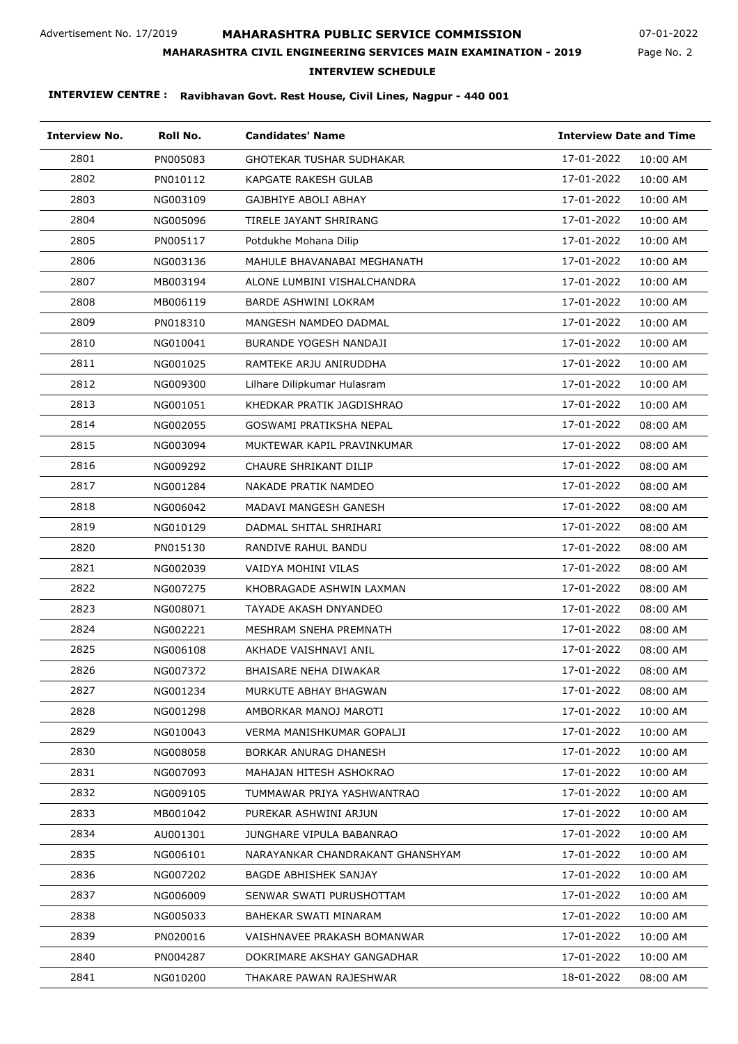## **MAHARASHTRA PUBLIC SERVICE COMMISSION**

Page No. 2 07-01-2022

### **MAHARASHTRA CIVIL ENGINEERING SERVICES MAIN EXAMINATION - 2019**

### **INTERVIEW SCHEDULE**

| <b>Interview No.</b> | Roll No. | <b>Candidates' Name</b>          | <b>Interview Date and Time</b> |
|----------------------|----------|----------------------------------|--------------------------------|
| 2801                 | PN005083 | GHOTEKAR TUSHAR SUDHAKAR         | 17-01-2022<br>10:00 AM         |
| 2802                 | PN010112 | KAPGATE RAKESH GULAB             | 17-01-2022<br>10:00 AM         |
| 2803                 | NG003109 | GAJBHIYE ABOLI ABHAY             | 17-01-2022<br>10:00 AM         |
| 2804                 | NG005096 | TIRELE JAYANT SHRIRANG           | 17-01-2022<br>10:00 AM         |
| 2805                 | PN005117 | Potdukhe Mohana Dilip            | 17-01-2022<br>10:00 AM         |
| 2806                 | NG003136 | MAHULE BHAVANABAI MEGHANATH      | 17-01-2022<br>10:00 AM         |
| 2807                 | MB003194 | ALONE LUMBINI VISHALCHANDRA      | 17-01-2022<br>10:00 AM         |
| 2808                 | MB006119 | BARDE ASHWINI LOKRAM             | 17-01-2022<br>10:00 AM         |
| 2809                 | PN018310 | MANGESH NAMDEO DADMAL            | 17-01-2022<br>10:00 AM         |
| 2810                 | NG010041 | BURANDE YOGESH NANDAJI           | 17-01-2022<br>10:00 AM         |
| 2811                 | NG001025 | RAMTEKE ARJU ANIRUDDHA           | 17-01-2022<br>10:00 AM         |
| 2812                 | NG009300 | Lilhare Dilipkumar Hulasram      | 17-01-2022<br>10:00 AM         |
| 2813                 | NG001051 | KHEDKAR PRATIK JAGDISHRAO        | 17-01-2022<br>10:00 AM         |
| 2814                 | NG002055 | GOSWAMI PRATIKSHA NEPAL          | 17-01-2022<br>08:00 AM         |
| 2815                 | NG003094 | MUKTEWAR KAPIL PRAVINKUMAR       | 17-01-2022<br>08:00 AM         |
| 2816                 | NG009292 | CHAURE SHRIKANT DILIP            | 17-01-2022<br>08:00 AM         |
| 2817                 | NG001284 | NAKADE PRATIK NAMDEO             | 17-01-2022<br>08:00 AM         |
| 2818                 | NG006042 | MADAVI MANGESH GANESH            | 17-01-2022<br>08:00 AM         |
| 2819                 | NG010129 | DADMAL SHITAL SHRIHARI           | 17-01-2022<br>08:00 AM         |
| 2820                 | PN015130 | RANDIVE RAHUL BANDU              | 17-01-2022<br>08:00 AM         |
| 2821                 | NG002039 | VAIDYA MOHINI VILAS              | 17-01-2022<br>08:00 AM         |
| 2822                 | NG007275 | KHOBRAGADE ASHWIN LAXMAN         | 17-01-2022<br>08:00 AM         |
| 2823                 | NG008071 | TAYADE AKASH DNYANDEO            | 17-01-2022<br>08:00 AM         |
| 2824                 | NG002221 | MESHRAM SNEHA PREMNATH           | 17-01-2022<br>08:00 AM         |
| 2825                 | NG006108 | AKHADE VAISHNAVI ANIL            | 17-01-2022<br>08:00 AM         |
| 2826                 | NG007372 | BHAISARE NEHA DIWAKAR            | 17-01-2022<br>08:00 AM         |
| 2827                 | NG001234 | MURKUTE ABHAY BHAGWAN            | 17-01-2022<br>08:00 AM         |
| 2828                 | NG001298 | AMBORKAR MANOJ MAROTI            | 17-01-2022<br>10:00 AM         |
| 2829                 | NG010043 | VERMA MANISHKUMAR GOPALJI        | 17-01-2022<br>10:00 AM         |
| 2830                 | NG008058 | BORKAR ANURAG DHANESH            | 17-01-2022<br>10:00 AM         |
| 2831                 | NG007093 | MAHAJAN HITESH ASHOKRAO          | 17-01-2022<br>10:00 AM         |
| 2832                 | NG009105 | TUMMAWAR PRIYA YASHWANTRAO       | 17-01-2022<br>10:00 AM         |
| 2833                 | MB001042 | PUREKAR ASHWINI ARJUN            | 17-01-2022<br>10:00 AM         |
| 2834                 | AU001301 | JUNGHARE VIPULA BABANRAO         | 17-01-2022<br>10:00 AM         |
| 2835                 | NG006101 | NARAYANKAR CHANDRAKANT GHANSHYAM | 17-01-2022<br>10:00 AM         |
| 2836                 | NG007202 | BAGDE ABHISHEK SANJAY            | 17-01-2022<br>10:00 AM         |
| 2837                 | NG006009 | SENWAR SWATI PURUSHOTTAM         | 17-01-2022<br>10:00 AM         |
| 2838                 | NG005033 | BAHEKAR SWATI MINARAM            | 17-01-2022<br>10:00 AM         |
| 2839                 | PN020016 | VAISHNAVEE PRAKASH BOMANWAR      | 17-01-2022<br>10:00 AM         |
| 2840                 | PN004287 | DOKRIMARE AKSHAY GANGADHAR       | 17-01-2022<br>10:00 AM         |
| 2841                 | NG010200 | THAKARE PAWAN RAJESHWAR          | 18-01-2022<br>08:00 AM         |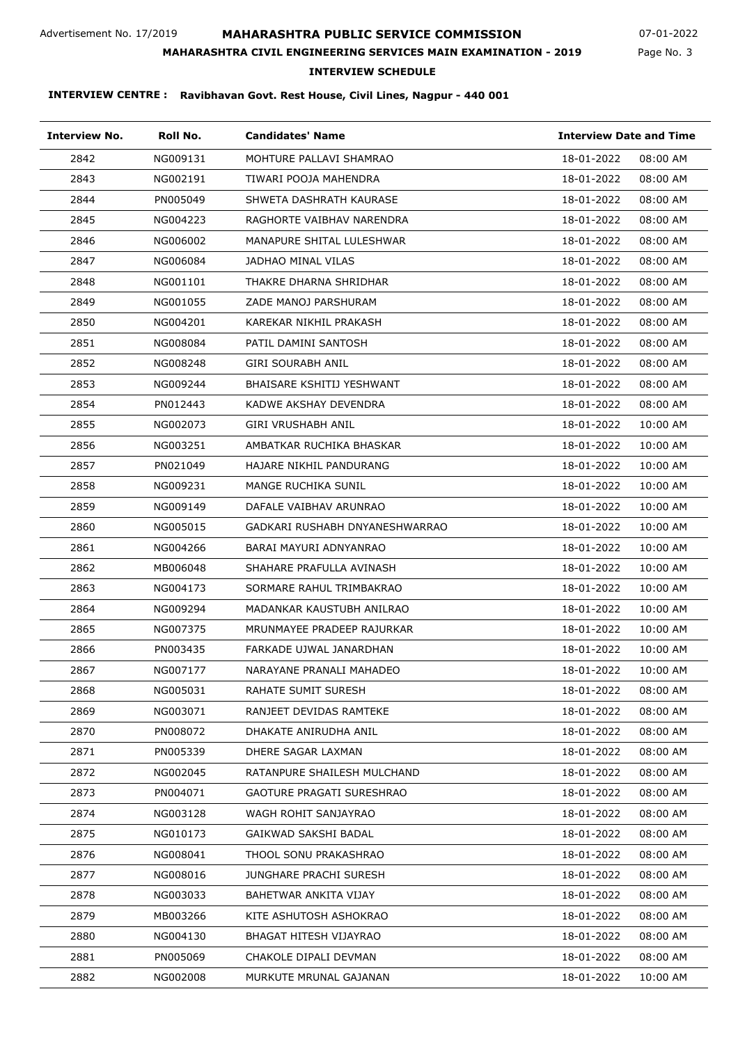## **MAHARASHTRA PUBLIC SERVICE COMMISSION**

Page No. 3 07-01-2022

### **MAHARASHTRA CIVIL ENGINEERING SERVICES MAIN EXAMINATION - 2019**

**INTERVIEW SCHEDULE**

| <b>Interview No.</b> | Roll No. | <b>Candidates' Name</b>          |            | <b>Interview Date and Time</b> |  |
|----------------------|----------|----------------------------------|------------|--------------------------------|--|
| 2842                 | NG009131 | MOHTURE PALLAVI SHAMRAO          | 18-01-2022 | 08:00 AM                       |  |
| 2843                 | NG002191 | TIWARI POOJA MAHENDRA            | 18-01-2022 | 08:00 AM                       |  |
| 2844                 | PN005049 | SHWETA DASHRATH KAURASE          | 18-01-2022 | 08:00 AM                       |  |
| 2845                 | NG004223 | RAGHORTE VAIBHAV NARENDRA        | 18-01-2022 | 08:00 AM                       |  |
| 2846                 | NG006002 | MANAPURE SHITAL LULESHWAR        | 18-01-2022 | 08:00 AM                       |  |
| 2847                 | NG006084 | JADHAO MINAL VILAS               | 18-01-2022 | 08:00 AM                       |  |
| 2848                 | NG001101 | THAKRE DHARNA SHRIDHAR           | 18-01-2022 | 08:00 AM                       |  |
| 2849                 | NG001055 | ZADE MANOJ PARSHURAM             | 18-01-2022 | 08:00 AM                       |  |
| 2850                 | NG004201 | KAREKAR NIKHIL PRAKASH           | 18-01-2022 | 08:00 AM                       |  |
| 2851                 | NG008084 | PATIL DAMINI SANTOSH             | 18-01-2022 | 08:00 AM                       |  |
| 2852                 | NG008248 | <b>GIRI SOURABH ANIL</b>         | 18-01-2022 | 08:00 AM                       |  |
| 2853                 | NG009244 | <b>BHAISARE KSHITIJ YESHWANT</b> | 18-01-2022 | 08:00 AM                       |  |
| 2854                 | PN012443 | KADWE AKSHAY DEVENDRA            | 18-01-2022 | 08:00 AM                       |  |
| 2855                 | NG002073 | GIRI VRUSHABH ANIL               | 18-01-2022 | 10:00 AM                       |  |
| 2856                 | NG003251 | AMBATKAR RUCHIKA BHASKAR         | 18-01-2022 | 10:00 AM                       |  |
| 2857                 | PN021049 | HAJARE NIKHIL PANDURANG          | 18-01-2022 | 10:00 AM                       |  |
| 2858                 | NG009231 | MANGE RUCHIKA SUNIL              | 18-01-2022 | 10:00 AM                       |  |
| 2859                 | NG009149 | DAFALE VAIBHAV ARUNRAO           | 18-01-2022 | 10:00 AM                       |  |
| 2860                 | NG005015 | GADKARI RUSHABH DNYANESHWARRAO   | 18-01-2022 | 10:00 AM                       |  |
| 2861                 | NG004266 | BARAI MAYURI ADNYANRAO           | 18-01-2022 | 10:00 AM                       |  |
| 2862                 | MB006048 | SHAHARE PRAFULLA AVINASH         | 18-01-2022 | 10:00 AM                       |  |
| 2863                 | NG004173 | SORMARE RAHUL TRIMBAKRAO         | 18-01-2022 | 10:00 AM                       |  |
| 2864                 | NG009294 | MADANKAR KAUSTUBH ANILRAO        | 18-01-2022 | 10:00 AM                       |  |
| 2865                 | NG007375 | MRUNMAYEE PRADEEP RAJURKAR       | 18-01-2022 | 10:00 AM                       |  |
| 2866                 | PN003435 | FARKADE UJWAL JANARDHAN          | 18-01-2022 | 10:00 AM                       |  |
| 2867                 | NG007177 | NARAYANE PRANALI MAHADEO         | 18-01-2022 | 10:00 AM                       |  |
| 2868                 | NG005031 | RAHATE SUMIT SURESH              | 18-01-2022 | 08:00 AM                       |  |
| 2869                 | NG003071 | RANJEET DEVIDAS RAMTEKE          | 18-01-2022 | 08:00 AM                       |  |
| 2870                 | PN008072 | DHAKATE ANIRUDHA ANIL            | 18-01-2022 | 08:00 AM                       |  |
| 2871                 | PN005339 | DHERE SAGAR LAXMAN               | 18-01-2022 | 08:00 AM                       |  |
| 2872                 | NG002045 | RATANPURE SHAILESH MULCHAND      | 18-01-2022 | 08:00 AM                       |  |
| 2873                 | PN004071 | <b>GAOTURE PRAGATI SURESHRAO</b> | 18-01-2022 | 08:00 AM                       |  |
| 2874                 | NG003128 | WAGH ROHIT SANJAYRAO             | 18-01-2022 | 08:00 AM                       |  |
| 2875                 | NG010173 | GAIKWAD SAKSHI BADAL             | 18-01-2022 | 08:00 AM                       |  |
| 2876                 | NG008041 | THOOL SONU PRAKASHRAO            | 18-01-2022 | 08:00 AM                       |  |
| 2877                 | NG008016 | JUNGHARE PRACHI SURESH           | 18-01-2022 | 08:00 AM                       |  |
| 2878                 | NG003033 | BAHETWAR ANKITA VIJAY            | 18-01-2022 | 08:00 AM                       |  |
| 2879                 | MB003266 | KITE ASHUTOSH ASHOKRAO           | 18-01-2022 | 08:00 AM                       |  |
| 2880                 | NG004130 | BHAGAT HITESH VIJAYRAO           | 18-01-2022 | 08:00 AM                       |  |
| 2881                 | PN005069 | CHAKOLE DIPALI DEVMAN            | 18-01-2022 | 08:00 AM                       |  |
| 2882                 | NG002008 | MURKUTE MRUNAL GAJANAN           | 18-01-2022 | 10:00 AM                       |  |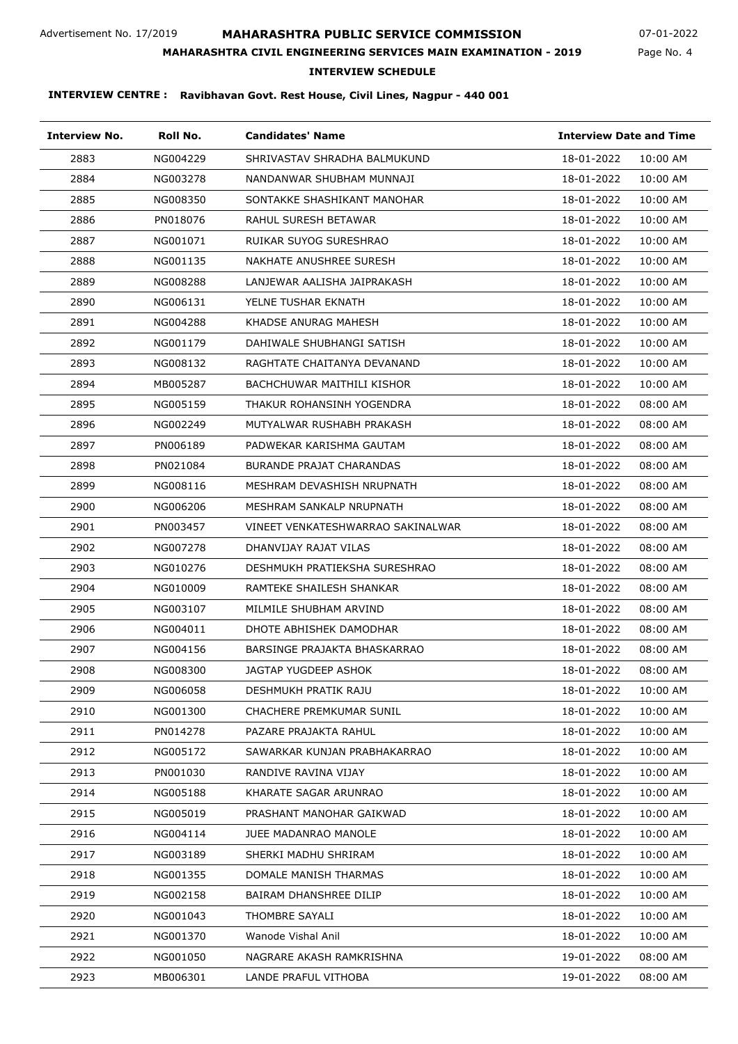## **MAHARASHTRA PUBLIC SERVICE COMMISSION**

Page No. 4 07-01-2022

## **MAHARASHTRA CIVIL ENGINEERING SERVICES MAIN EXAMINATION - 2019**

**INTERVIEW SCHEDULE**

| <b>Interview No.</b> | Roll No. | <b>Candidates' Name</b>           |                        | <b>Interview Date and Time</b> |  |
|----------------------|----------|-----------------------------------|------------------------|--------------------------------|--|
| 2883                 | NG004229 | SHRIVASTAV SHRADHA BALMUKUND      | 18-01-2022<br>10:00 AM |                                |  |
| 2884                 | NG003278 | NANDANWAR SHUBHAM MUNNAJI         | 18-01-2022<br>10:00 AM |                                |  |
| 2885                 | NG008350 | SONTAKKE SHASHIKANT MANOHAR       | 18-01-2022<br>10:00 AM |                                |  |
| 2886                 | PN018076 | RAHUL SURESH BETAWAR              | 18-01-2022<br>10:00 AM |                                |  |
| 2887                 | NG001071 | RUIKAR SUYOG SURESHRAO            | 18-01-2022<br>10:00 AM |                                |  |
| 2888                 | NG001135 | NAKHATE ANUSHREE SURESH           | 18-01-2022<br>10:00 AM |                                |  |
| 2889                 | NG008288 | LANJEWAR AALISHA JAIPRAKASH       | 18-01-2022<br>10:00 AM |                                |  |
| 2890                 | NG006131 | YELNE TUSHAR EKNATH               | 18-01-2022<br>10:00 AM |                                |  |
| 2891                 | NG004288 | KHADSE ANURAG MAHESH              | 18-01-2022<br>10:00 AM |                                |  |
| 2892                 | NG001179 | DAHIWALE SHUBHANGI SATISH         | 18-01-2022<br>10:00 AM |                                |  |
| 2893                 | NG008132 | RAGHTATE CHAITANYA DEVANAND       | 18-01-2022<br>10:00 AM |                                |  |
| 2894                 | MB005287 | BACHCHUWAR MAITHILI KISHOR        | 18-01-2022<br>10:00 AM |                                |  |
| 2895                 | NG005159 | THAKUR ROHANSINH YOGENDRA         | 18-01-2022<br>08:00 AM |                                |  |
| 2896                 | NG002249 | MUTYALWAR RUSHABH PRAKASH         | 18-01-2022<br>08:00 AM |                                |  |
| 2897                 | PN006189 | PADWEKAR KARISHMA GAUTAM          | 18-01-2022<br>08:00 AM |                                |  |
| 2898                 | PN021084 | <b>BURANDE PRAJAT CHARANDAS</b>   | 18-01-2022<br>08:00 AM |                                |  |
| 2899                 | NG008116 | MESHRAM DEVASHISH NRUPNATH        | 18-01-2022<br>08:00 AM |                                |  |
| 2900                 | NG006206 | MESHRAM SANKALP NRUPNATH          | 18-01-2022<br>08:00 AM |                                |  |
| 2901                 | PN003457 | VINEET VENKATESHWARRAO SAKINALWAR | 08:00 AM<br>18-01-2022 |                                |  |
| 2902                 | NG007278 | DHANVIJAY RAJAT VILAS             | 18-01-2022<br>08:00 AM |                                |  |
| 2903                 | NG010276 | DESHMUKH PRATIEKSHA SURESHRAO     | 18-01-2022<br>08:00 AM |                                |  |
| 2904                 | NG010009 | RAMTEKE SHAILESH SHANKAR          | 18-01-2022<br>08:00 AM |                                |  |
| 2905                 | NG003107 | MILMILE SHUBHAM ARVIND            | 18-01-2022<br>08:00 AM |                                |  |
| 2906                 | NG004011 | DHOTE ABHISHEK DAMODHAR           | 18-01-2022<br>08:00 AM |                                |  |
| 2907                 | NG004156 | BARSINGE PRAJAKTA BHASKARRAO      | 18-01-2022<br>08:00 AM |                                |  |
| 2908                 | NG008300 | JAGTAP YUGDEEP ASHOK              | 18-01-2022<br>08:00 AM |                                |  |
| 2909                 | NG006058 | DESHMUKH PRATIK RAJU              | 18-01-2022<br>10:00 AM |                                |  |
| 2910                 | NG001300 | CHACHERE PREMKUMAR SUNIL          | 18-01-2022<br>10:00 AM |                                |  |
| 2911                 | PN014278 | PAZARE PRAJAKTA RAHUL             | 18-01-2022<br>10:00 AM |                                |  |
| 2912                 | NG005172 | SAWARKAR KUNJAN PRABHAKARRAO      | 18-01-2022<br>10:00 AM |                                |  |
| 2913                 | PN001030 | RANDIVE RAVINA VIJAY              | 18-01-2022<br>10:00 AM |                                |  |
| 2914                 | NG005188 | KHARATE SAGAR ARUNRAO             | 18-01-2022<br>10:00 AM |                                |  |
| 2915                 | NG005019 | PRASHANT MANOHAR GAIKWAD          | 18-01-2022<br>10:00 AM |                                |  |
| 2916                 | NG004114 | <b>JUEE MADANRAO MANOLE</b>       | 18-01-2022<br>10:00 AM |                                |  |
| 2917                 | NG003189 | SHERKI MADHU SHRIRAM              | 18-01-2022<br>10:00 AM |                                |  |
| 2918                 | NG001355 | DOMALE MANISH THARMAS             | 18-01-2022<br>10:00 AM |                                |  |
| 2919                 | NG002158 | BAIRAM DHANSHREE DILIP            | 18-01-2022<br>10:00 AM |                                |  |
| 2920                 | NG001043 | THOMBRE SAYALI                    | 18-01-2022<br>10:00 AM |                                |  |
| 2921                 | NG001370 | Wanode Vishal Anil                | 18-01-2022<br>10:00 AM |                                |  |
| 2922                 | NG001050 | NAGRARE AKASH RAMKRISHNA          | 19-01-2022<br>08:00 AM |                                |  |
| 2923                 | MB006301 | LANDE PRAFUL VITHOBA              | 19-01-2022<br>08:00 AM |                                |  |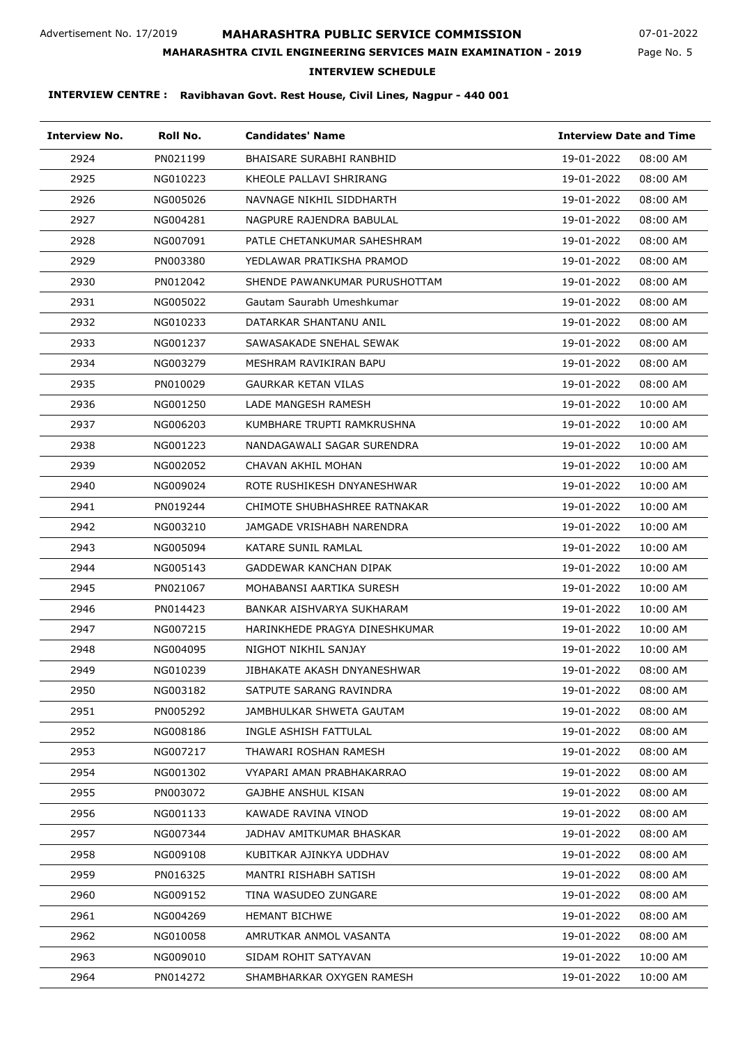## **MAHARASHTRA PUBLIC SERVICE COMMISSION**

**MAHARASHTRA CIVIL ENGINEERING SERVICES MAIN EXAMINATION - 2019**

07-01-2022

Page No. 5

## **INTERVIEW SCHEDULE**

| <b>Interview No.</b> | Roll No. | <b>Candidates' Name</b>       | <b>Interview Date and Time</b> |  |
|----------------------|----------|-------------------------------|--------------------------------|--|
| 2924                 | PN021199 | BHAISARE SURABHI RANBHID      | 19-01-2022<br>08:00 AM         |  |
| 2925                 | NG010223 | KHEOLE PALLAVI SHRIRANG       | 19-01-2022<br>08:00 AM         |  |
| 2926                 | NG005026 | NAVNAGE NIKHIL SIDDHARTH      | 19-01-2022<br>08:00 AM         |  |
| 2927                 | NG004281 | NAGPURE RAJENDRA BABULAL      | 19-01-2022<br>08:00 AM         |  |
| 2928                 | NG007091 | PATLE CHETANKUMAR SAHESHRAM   | 19-01-2022<br>08:00 AM         |  |
| 2929                 | PN003380 | YEDLAWAR PRATIKSHA PRAMOD     | 19-01-2022<br>08:00 AM         |  |
| 2930                 | PN012042 | SHENDE PAWANKUMAR PURUSHOTTAM | 19-01-2022<br>08:00 AM         |  |
| 2931                 | NG005022 | Gautam Saurabh Umeshkumar     | 19-01-2022<br>08:00 AM         |  |
| 2932                 | NG010233 | DATARKAR SHANTANU ANIL        | 19-01-2022<br>08:00 AM         |  |
| 2933                 | NG001237 | SAWASAKADE SNEHAL SEWAK       | 19-01-2022<br>08:00 AM         |  |
| 2934                 | NG003279 | MESHRAM RAVIKIRAN BAPU        | 19-01-2022<br>08:00 AM         |  |
| 2935                 | PN010029 | <b>GAURKAR KETAN VILAS</b>    | 19-01-2022<br>08:00 AM         |  |
| 2936                 | NG001250 | LADE MANGESH RAMESH           | 19-01-2022<br>10:00 AM         |  |
| 2937                 | NG006203 | KUMBHARE TRUPTI RAMKRUSHNA    | 19-01-2022<br>10:00 AM         |  |
| 2938                 | NG001223 | NANDAGAWALI SAGAR SURENDRA    | 19-01-2022<br>10:00 AM         |  |
| 2939                 | NG002052 | CHAVAN AKHIL MOHAN            | 19-01-2022<br>10:00 AM         |  |
| 2940                 | NG009024 | ROTE RUSHIKESH DNYANESHWAR    | 19-01-2022<br>10:00 AM         |  |
| 2941                 | PN019244 | CHIMOTE SHUBHASHREE RATNAKAR  | 19-01-2022<br>10:00 AM         |  |
| 2942                 | NG003210 | JAMGADE VRISHABH NARENDRA     | 19-01-2022<br>10:00 AM         |  |
| 2943                 | NG005094 | KATARE SUNIL RAMLAL           | 19-01-2022<br>10:00 AM         |  |
| 2944                 | NG005143 | GADDEWAR KANCHAN DIPAK        | 19-01-2022<br>10:00 AM         |  |
| 2945                 | PN021067 | MOHABANSI AARTIKA SURESH      | 19-01-2022<br>10:00 AM         |  |
| 2946                 | PN014423 | BANKAR AISHVARYA SUKHARAM     | 19-01-2022<br>10:00 AM         |  |
| 2947                 | NG007215 | HARINKHEDE PRAGYA DINESHKUMAR | 19-01-2022<br>10:00 AM         |  |
| 2948                 | NG004095 | NIGHOT NIKHIL SANJAY          | 19-01-2022<br>10:00 AM         |  |
| 2949                 | NG010239 | JIBHAKATE AKASH DNYANESHWAR   | 19-01-2022<br>08:00 AM         |  |
| 2950                 | NG003182 | SATPUTE SARANG RAVINDRA       | 19-01-2022<br>08:00 AM         |  |
| 2951                 | PN005292 | JAMBHULKAR SHWETA GAUTAM      | 19-01-2022<br>08:00 AM         |  |
| 2952                 | NG008186 | INGLE ASHISH FATTULAL         | 19-01-2022<br>08:00 AM         |  |
| 2953                 | NG007217 | THAWARI ROSHAN RAMESH         | 19-01-2022<br>08:00 AM         |  |
| 2954                 | NG001302 | VYAPARI AMAN PRABHAKARRAO     | 19-01-2022<br>08:00 AM         |  |
| 2955                 | PN003072 | GAJBHE ANSHUL KISAN           | 19-01-2022<br>08:00 AM         |  |
| 2956                 | NG001133 | KAWADE RAVINA VINOD           | 19-01-2022<br>08:00 AM         |  |
| 2957                 | NG007344 | JADHAV AMITKUMAR BHASKAR      | 19-01-2022<br>08:00 AM         |  |
| 2958                 | NG009108 | KUBITKAR AJINKYA UDDHAV       | 19-01-2022<br>08:00 AM         |  |
| 2959                 | PN016325 | MANTRI RISHABH SATISH         | 19-01-2022<br>08:00 AM         |  |
| 2960                 | NG009152 | TINA WASUDEO ZUNGARE          | 19-01-2022<br>08:00 AM         |  |
| 2961                 | NG004269 | <b>HEMANT BICHWE</b>          | 19-01-2022<br>08:00 AM         |  |
| 2962                 | NG010058 | AMRUTKAR ANMOL VASANTA        | 19-01-2022<br>08:00 AM         |  |
| 2963                 | NG009010 | SIDAM ROHIT SATYAVAN          | 19-01-2022<br>10:00 AM         |  |
| 2964                 | PN014272 | SHAMBHARKAR OXYGEN RAMESH     | 19-01-2022<br>10:00 AM         |  |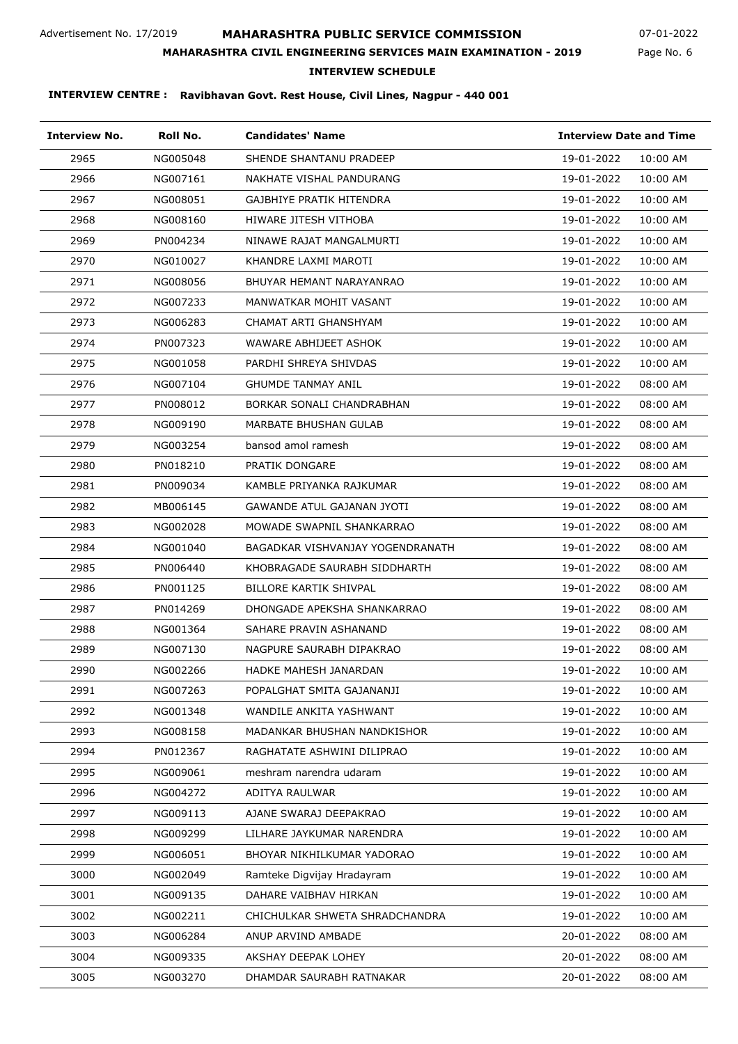## **MAHARASHTRA PUBLIC SERVICE COMMISSION**

Page No. 6 07-01-2022

### **MAHARASHTRA CIVIL ENGINEERING SERVICES MAIN EXAMINATION - 2019**

### **INTERVIEW SCHEDULE**

| <b>Interview No.</b> | Roll No. | <b>Candidates' Name</b>          |            | <b>Interview Date and Time</b> |  |
|----------------------|----------|----------------------------------|------------|--------------------------------|--|
| 2965                 | NG005048 | SHENDE SHANTANU PRADEEP          | 19-01-2022 | 10:00 AM                       |  |
| 2966                 | NG007161 | NAKHATE VISHAL PANDURANG         | 19-01-2022 | 10:00 AM                       |  |
| 2967                 | NG008051 | GAJBHIYE PRATIK HITENDRA         | 19-01-2022 | 10:00 AM                       |  |
| 2968                 | NG008160 | HIWARE JITESH VITHOBA            | 19-01-2022 | 10:00 AM                       |  |
| 2969                 | PN004234 | NINAWE RAJAT MANGALMURTI         | 19-01-2022 | 10:00 AM                       |  |
| 2970                 | NG010027 | KHANDRE LAXMI MAROTI             | 19-01-2022 | 10:00 AM                       |  |
| 2971                 | NG008056 | BHUYAR HEMANT NARAYANRAO         | 19-01-2022 | 10:00 AM                       |  |
| 2972                 | NG007233 | MANWATKAR MOHIT VASANT           | 19-01-2022 | 10:00 AM                       |  |
| 2973                 | NG006283 | CHAMAT ARTI GHANSHYAM            | 19-01-2022 | 10:00 AM                       |  |
| 2974                 | PN007323 | WAWARE ABHIJEET ASHOK            | 19-01-2022 | 10:00 AM                       |  |
| 2975                 | NG001058 | PARDHI SHREYA SHIVDAS            | 19-01-2022 | 10:00 AM                       |  |
| 2976                 | NG007104 | <b>GHUMDE TANMAY ANIL</b>        | 19-01-2022 | 08:00 AM                       |  |
| 2977                 | PN008012 | BORKAR SONALI CHANDRABHAN        | 19-01-2022 | 08:00 AM                       |  |
| 2978                 | NG009190 | MARBATE BHUSHAN GULAB            | 19-01-2022 | 08:00 AM                       |  |
| 2979                 | NG003254 | bansod amol ramesh               | 19-01-2022 | 08:00 AM                       |  |
| 2980                 | PN018210 | PRATIK DONGARE                   | 19-01-2022 | 08:00 AM                       |  |
| 2981                 | PN009034 | KAMBLE PRIYANKA RAJKUMAR         | 19-01-2022 | 08:00 AM                       |  |
| 2982                 | MB006145 | GAWANDE ATUL GAJANAN JYOTI       | 19-01-2022 | 08:00 AM                       |  |
| 2983                 | NG002028 | MOWADE SWAPNIL SHANKARRAO        | 19-01-2022 | 08:00 AM                       |  |
| 2984                 | NG001040 | BAGADKAR VISHVANJAY YOGENDRANATH | 19-01-2022 | 08:00 AM                       |  |
| 2985                 | PN006440 | KHOBRAGADE SAURABH SIDDHARTH     | 19-01-2022 | 08:00 AM                       |  |
| 2986                 | PN001125 | BILLORE KARTIK SHIVPAL           | 19-01-2022 | 08:00 AM                       |  |
| 2987                 | PN014269 | DHONGADE APEKSHA SHANKARRAO      | 19-01-2022 | 08:00 AM                       |  |
| 2988                 | NG001364 | SAHARE PRAVIN ASHANAND           | 19-01-2022 | 08:00 AM                       |  |
| 2989                 | NG007130 | NAGPURE SAURABH DIPAKRAO         | 19-01-2022 | 08:00 AM                       |  |
| 2990                 | NG002266 | HADKE MAHESH JANARDAN            | 19-01-2022 | 10:00 AM                       |  |
| 2991                 | NG007263 | POPALGHAT SMITA GAJANANJI        | 19-01-2022 | 10:00 AM                       |  |
| 2992                 | NG001348 | WANDILE ANKITA YASHWANT          | 19-01-2022 | 10:00 AM                       |  |
| 2993                 | NG008158 | MADANKAR BHUSHAN NANDKISHOR      | 19-01-2022 | 10:00 AM                       |  |
| 2994                 | PN012367 | RAGHATATE ASHWINI DILIPRAO       | 19-01-2022 | 10:00 AM                       |  |
| 2995                 | NG009061 | meshram narendra udaram          | 19-01-2022 | 10:00 AM                       |  |
| 2996                 | NG004272 | ADITYA RAULWAR                   | 19-01-2022 | 10:00 AM                       |  |
| 2997                 | NG009113 | AJANE SWARAJ DEEPAKRAO           | 19-01-2022 | 10:00 AM                       |  |
| 2998                 | NG009299 | LILHARE JAYKUMAR NARENDRA        | 19-01-2022 | 10:00 AM                       |  |
| 2999                 | NG006051 | BHOYAR NIKHILKUMAR YADORAO       | 19-01-2022 | 10:00 AM                       |  |
| 3000                 | NG002049 | Ramteke Digvijay Hradayram       | 19-01-2022 | 10:00 AM                       |  |
| 3001                 | NG009135 | DAHARE VAIBHAV HIRKAN            | 19-01-2022 | 10:00 AM                       |  |
| 3002                 | NG002211 | CHICHULKAR SHWETA SHRADCHANDRA   | 19-01-2022 | 10:00 AM                       |  |
| 3003                 | NG006284 | ANUP ARVIND AMBADE               | 20-01-2022 | 08:00 AM                       |  |
| 3004                 | NG009335 | AKSHAY DEEPAK LOHEY              | 20-01-2022 | 08:00 AM                       |  |
| 3005                 | NG003270 | DHAMDAR SAURABH RATNAKAR         | 20-01-2022 | 08:00 AM                       |  |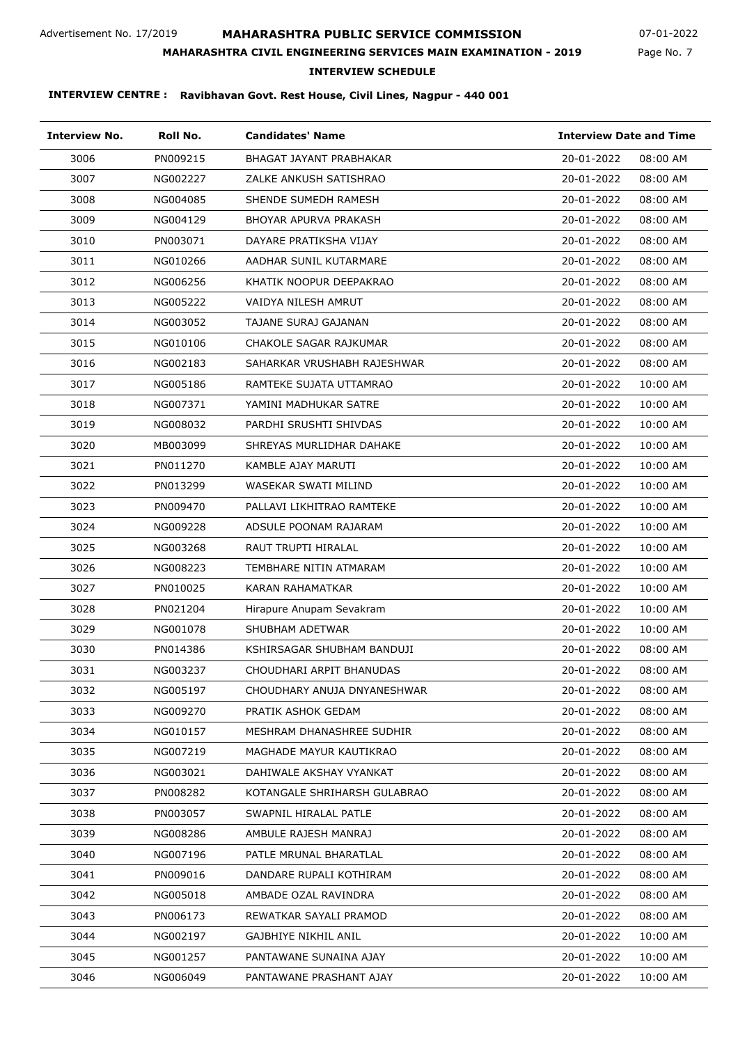## **MAHARASHTRA PUBLIC SERVICE COMMISSION**

Page No. 7 07-01-2022

### **MAHARASHTRA CIVIL ENGINEERING SERVICES MAIN EXAMINATION - 2019**

### **INTERVIEW SCHEDULE**

| <b>Interview No.</b> | Roll No. | <b>Candidates' Name</b>        | <b>Interview Date and Time</b> |
|----------------------|----------|--------------------------------|--------------------------------|
| 3006                 | PN009215 | <b>BHAGAT JAYANT PRABHAKAR</b> | 20-01-2022<br>08:00 AM         |
| 3007                 | NG002227 | ZALKE ANKUSH SATISHRAO         | 20-01-2022<br>08:00 AM         |
| 3008                 | NG004085 | SHENDE SUMEDH RAMESH           | 20-01-2022<br>08:00 AM         |
| 3009                 | NG004129 | BHOYAR APURVA PRAKASH          | 20-01-2022<br>08:00 AM         |
| 3010                 | PN003071 | DAYARE PRATIKSHA VIJAY         | 20-01-2022<br>08:00 AM         |
| 3011                 | NG010266 | AADHAR SUNIL KUTARMARE         | 20-01-2022<br>08:00 AM         |
| 3012                 | NG006256 | KHATIK NOOPUR DEEPAKRAO        | 20-01-2022<br>08:00 AM         |
| 3013                 | NG005222 | VAIDYA NILESH AMRUT            | 20-01-2022<br>08:00 AM         |
| 3014                 | NG003052 | TAJANE SURAJ GAJANAN           | 20-01-2022<br>08:00 AM         |
| 3015                 | NG010106 | CHAKOLE SAGAR RAJKUMAR         | 20-01-2022<br>08:00 AM         |
| 3016                 | NG002183 | SAHARKAR VRUSHABH RAJESHWAR    | 20-01-2022<br>08:00 AM         |
| 3017                 | NG005186 | RAMTEKE SUJATA UTTAMRAO        | 20-01-2022<br>10:00 AM         |
| 3018                 | NG007371 | YAMINI MADHUKAR SATRE          | 20-01-2022<br>10:00 AM         |
| 3019                 | NG008032 | PARDHI SRUSHTI SHIVDAS         | 20-01-2022<br>10:00 AM         |
| 3020                 | MB003099 | SHREYAS MURLIDHAR DAHAKE       | 20-01-2022<br>10:00 AM         |
| 3021                 | PN011270 | KAMBLE AJAY MARUTI             | 20-01-2022<br>10:00 AM         |
| 3022                 | PN013299 | WASEKAR SWATI MILIND           | 20-01-2022<br>10:00 AM         |
| 3023                 | PN009470 | PALLAVI LIKHITRAO RAMTEKE      | 20-01-2022<br>10:00 AM         |
| 3024                 | NG009228 | ADSULE POONAM RAJARAM          | 20-01-2022<br>10:00 AM         |
| 3025                 | NG003268 | RAUT TRUPTI HIRALAL            | 20-01-2022<br>10:00 AM         |
| 3026                 | NG008223 | TEMBHARE NITIN ATMARAM         | 20-01-2022<br>10:00 AM         |
| 3027                 | PN010025 | KARAN RAHAMATKAR               | 20-01-2022<br>10:00 AM         |
| 3028                 | PN021204 | Hirapure Anupam Sevakram       | 20-01-2022<br>10:00 AM         |
| 3029                 | NG001078 | SHUBHAM ADETWAR                | 20-01-2022<br>10:00 AM         |
| 3030                 | PN014386 | KSHIRSAGAR SHUBHAM BANDUJI     | 20-01-2022<br>08:00 AM         |
| 3031                 | NG003237 | CHOUDHARI ARPIT BHANUDAS       | 20-01-2022<br>08:00 AM         |
| 3032                 | NG005197 | CHOUDHARY ANUJA DNYANESHWAR    | 20-01-2022<br>08:00 AM         |
| 3033                 | NG009270 | PRATIK ASHOK GEDAM             | 20-01-2022<br>08:00 AM         |
| 3034                 | NG010157 | MESHRAM DHANASHREE SUDHIR      | 20-01-2022<br>08:00 AM         |
| 3035                 | NG007219 | MAGHADE MAYUR KAUTIKRAO        | 20-01-2022<br>08:00 AM         |
| 3036                 | NG003021 | DAHIWALE AKSHAY VYANKAT        | 20-01-2022<br>08:00 AM         |
| 3037                 | PN008282 | KOTANGALE SHRIHARSH GULABRAO   | 20-01-2022<br>08:00 AM         |
| 3038                 | PN003057 | SWAPNIL HIRALAL PATLE          | 20-01-2022<br>08:00 AM         |
| 3039                 | NG008286 | AMBULE RAJESH MANRAJ           | 20-01-2022<br>08:00 AM         |
| 3040                 | NG007196 | PATLE MRUNAL BHARATLAL         | 20-01-2022<br>08:00 AM         |
| 3041                 | PN009016 | DANDARE RUPALI KOTHIRAM        | 20-01-2022<br>08:00 AM         |
| 3042                 | NG005018 | AMBADE OZAL RAVINDRA           | 20-01-2022<br>08:00 AM         |
| 3043                 | PN006173 | REWATKAR SAYALI PRAMOD         | 20-01-2022<br>08:00 AM         |
| 3044                 | NG002197 | GAJBHIYE NIKHIL ANIL           | 20-01-2022<br>10:00 AM         |
| 3045                 | NG001257 | PANTAWANE SUNAINA AJAY         | 20-01-2022<br>10:00 AM         |
| 3046                 | NG006049 | PANTAWANE PRASHANT AJAY        | 20-01-2022<br>10:00 AM         |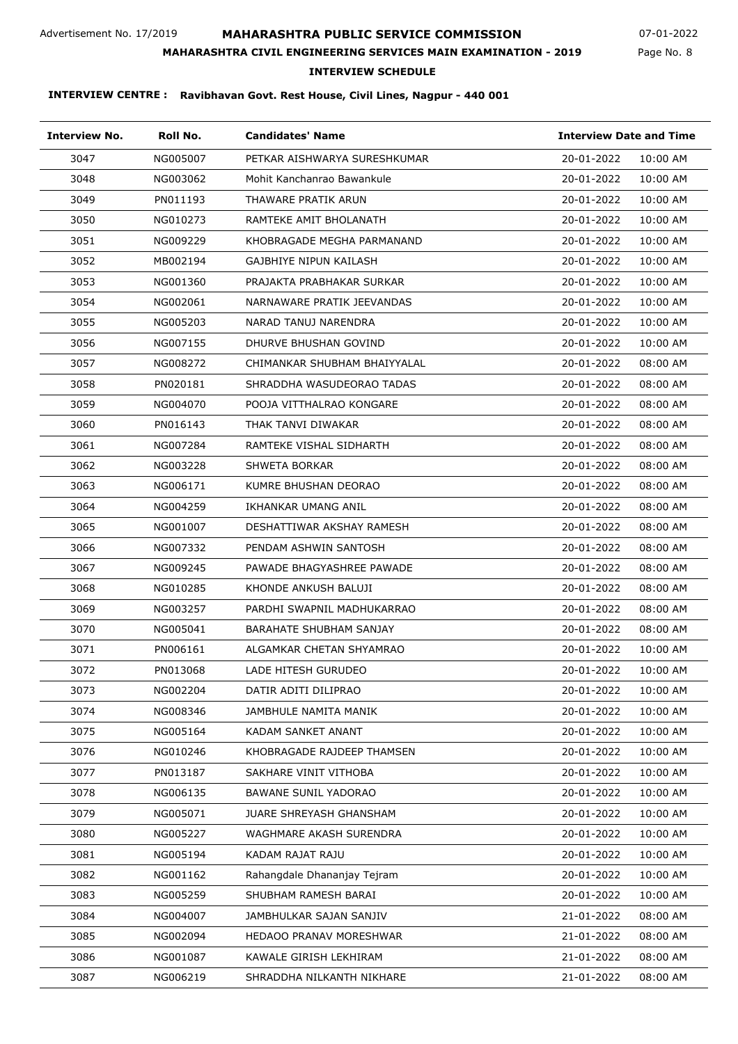## **MAHARASHTRA PUBLIC SERVICE COMMISSION**

Page No. 8 07-01-2022

### **MAHARASHTRA CIVIL ENGINEERING SERVICES MAIN EXAMINATION - 2019**

**INTERVIEW SCHEDULE**

| <b>Interview No.</b> | Roll No. | <b>Candidates' Name</b>        |            | <b>Interview Date and Time</b> |  |
|----------------------|----------|--------------------------------|------------|--------------------------------|--|
| 3047                 | NG005007 | PETKAR AISHWARYA SURESHKUMAR   | 20-01-2022 | 10:00 AM                       |  |
| 3048                 | NG003062 | Mohit Kanchanrao Bawankule     | 20-01-2022 | 10:00 AM                       |  |
| 3049                 | PN011193 | THAWARE PRATIK ARUN            | 20-01-2022 | 10:00 AM                       |  |
| 3050                 | NG010273 | RAMTEKE AMIT BHOLANATH         | 20-01-2022 | 10:00 AM                       |  |
| 3051                 | NG009229 | KHOBRAGADE MEGHA PARMANAND     | 20-01-2022 | 10:00 AM                       |  |
| 3052                 | MB002194 | GAJBHIYE NIPUN KAILASH         | 20-01-2022 | 10:00 AM                       |  |
| 3053                 | NG001360 | PRAJAKTA PRABHAKAR SURKAR      | 20-01-2022 | 10:00 AM                       |  |
| 3054                 | NG002061 | NARNAWARE PRATIK JEEVANDAS     | 20-01-2022 | 10:00 AM                       |  |
| 3055                 | NG005203 | NARAD TANUJ NARENDRA           | 20-01-2022 | 10:00 AM                       |  |
| 3056                 | NG007155 | DHURVE BHUSHAN GOVIND          | 20-01-2022 | 10:00 AM                       |  |
| 3057                 | NG008272 | CHIMANKAR SHUBHAM BHAIYYALAL   | 20-01-2022 | 08:00 AM                       |  |
| 3058                 | PN020181 | SHRADDHA WASUDEORAO TADAS      | 20-01-2022 | 08:00 AM                       |  |
| 3059                 | NG004070 | POOJA VITTHALRAO KONGARE       | 20-01-2022 | 08:00 AM                       |  |
| 3060                 | PN016143 | THAK TANVI DIWAKAR             | 20-01-2022 | 08:00 AM                       |  |
| 3061                 | NG007284 | RAMTEKE VISHAL SIDHARTH        | 20-01-2022 | 08:00 AM                       |  |
| 3062                 | NG003228 | SHWETA BORKAR                  | 20-01-2022 | 08:00 AM                       |  |
| 3063                 | NG006171 | KUMRE BHUSHAN DEORAO           | 20-01-2022 | 08:00 AM                       |  |
| 3064                 | NG004259 | IKHANKAR UMANG ANIL            | 20-01-2022 | 08:00 AM                       |  |
| 3065                 | NG001007 | DESHATTIWAR AKSHAY RAMESH      | 20-01-2022 | 08:00 AM                       |  |
| 3066                 | NG007332 | PENDAM ASHWIN SANTOSH          | 20-01-2022 | 08:00 AM                       |  |
| 3067                 | NG009245 | PAWADE BHAGYASHREE PAWADE      | 20-01-2022 | 08:00 AM                       |  |
| 3068                 | NG010285 | KHONDE ANKUSH BALUJI           | 20-01-2022 | 08:00 AM                       |  |
| 3069                 | NG003257 | PARDHI SWAPNIL MADHUKARRAO     | 20-01-2022 | 08:00 AM                       |  |
| 3070                 | NG005041 | <b>BARAHATE SHUBHAM SANJAY</b> | 20-01-2022 | 08:00 AM                       |  |
| 3071                 | PN006161 | ALGAMKAR CHETAN SHYAMRAO       | 20-01-2022 | 10:00 AM                       |  |
| 3072                 | PN013068 | LADE HITESH GURUDEO            | 20-01-2022 | 10:00 AM                       |  |
| 3073                 | NG002204 | DATIR ADITI DILIPRAO           | 20-01-2022 | 10:00 AM                       |  |
| 3074                 | NG008346 | JAMBHULE NAMITA MANIK          | 20-01-2022 | 10:00 AM                       |  |
| 3075                 | NG005164 | KADAM SANKET ANANT             | 20-01-2022 | 10:00 AM                       |  |
| 3076                 | NG010246 | KHOBRAGADE RAJDEEP THAMSEN     | 20-01-2022 | 10:00 AM                       |  |
| 3077                 | PN013187 | SAKHARE VINIT VITHOBA          | 20-01-2022 | 10:00 AM                       |  |
| 3078                 | NG006135 | <b>BAWANE SUNIL YADORAO</b>    | 20-01-2022 | 10:00 AM                       |  |
| 3079                 | NG005071 | <b>JUARE SHREYASH GHANSHAM</b> | 20-01-2022 | 10:00 AM                       |  |
| 3080                 | NG005227 | WAGHMARE AKASH SURENDRA        | 20-01-2022 | 10:00 AM                       |  |
| 3081                 | NG005194 | KADAM RAJAT RAJU               | 20-01-2022 | 10:00 AM                       |  |
| 3082                 | NG001162 | Rahangdale Dhananjay Tejram    | 20-01-2022 | 10:00 AM                       |  |
| 3083                 | NG005259 | SHUBHAM RAMESH BARAI           | 20-01-2022 | 10:00 AM                       |  |
| 3084                 | NG004007 | JAMBHULKAR SAJAN SANJIV        | 21-01-2022 | 08:00 AM                       |  |
| 3085                 | NG002094 | HEDAOO PRANAV MORESHWAR        | 21-01-2022 | 08:00 AM                       |  |
| 3086                 | NG001087 | KAWALE GIRISH LEKHIRAM         | 21-01-2022 | 08:00 AM                       |  |
| 3087                 | NG006219 | SHRADDHA NILKANTH NIKHARE      | 21-01-2022 | 08:00 AM                       |  |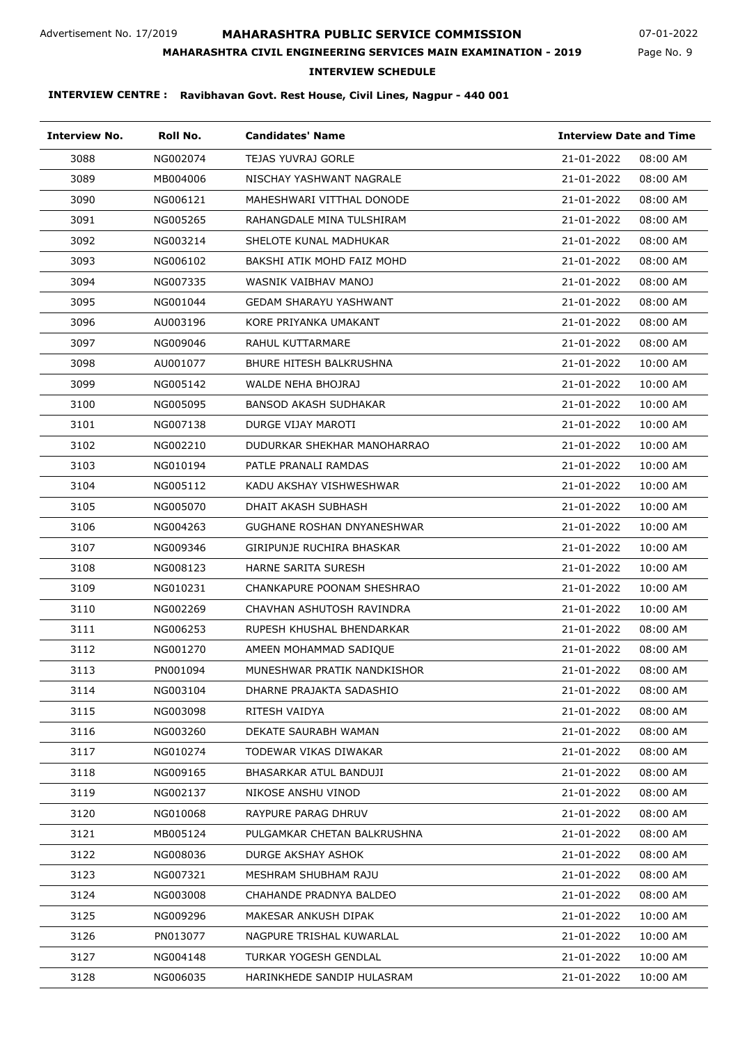## **MAHARASHTRA PUBLIC SERVICE COMMISSION**

**MAHARASHTRA CIVIL ENGINEERING SERVICES MAIN EXAMINATION - 2019**

07-01-2022

Page No. 9

### **INTERVIEW SCHEDULE**

| <b>Interview No.</b> | Roll No. | <b>Candidates' Name</b>       | <b>Interview Date and Time</b> |
|----------------------|----------|-------------------------------|--------------------------------|
| 3088                 | NG002074 | <b>TEJAS YUVRAJ GORLE</b>     | 21-01-2022<br>08:00 AM         |
| 3089                 | MB004006 | NISCHAY YASHWANT NAGRALE      | 21-01-2022<br>08:00 AM         |
| 3090                 | NG006121 | MAHESHWARI VITTHAL DONODE     | 08:00 AM<br>21-01-2022         |
| 3091                 | NG005265 | RAHANGDALE MINA TULSHIRAM     | 21-01-2022<br>08:00 AM         |
| 3092                 | NG003214 | SHELOTE KUNAL MADHUKAR        | 21-01-2022<br>08:00 AM         |
| 3093                 | NG006102 | BAKSHI ATIK MOHD FAIZ MOHD    | 21-01-2022<br>08:00 AM         |
| 3094                 | NG007335 | WASNIK VAIBHAV MANOJ          | 21-01-2022<br>08:00 AM         |
| 3095                 | NG001044 | <b>GEDAM SHARAYU YASHWANT</b> | 21-01-2022<br>08:00 AM         |
| 3096                 | AU003196 | KORE PRIYANKA UMAKANT         | 21-01-2022<br>08:00 AM         |
| 3097                 | NG009046 | RAHUL KUTTARMARE              | 21-01-2022<br>08:00 AM         |
| 3098                 | AU001077 | BHURE HITESH BALKRUSHNA       | 21-01-2022<br>10:00 AM         |
| 3099                 | NG005142 | WALDE NEHA BHOJRAJ            | 21-01-2022<br>10:00 AM         |
| 3100                 | NG005095 | BANSOD AKASH SUDHAKAR         | 21-01-2022<br>10:00 AM         |
| 3101                 | NG007138 | DURGE VIJAY MAROTI            | 21-01-2022<br>10:00 AM         |
| 3102                 | NG002210 | DUDURKAR SHEKHAR MANOHARRAO   | 21-01-2022<br>10:00 AM         |
| 3103                 | NG010194 | PATLE PRANALI RAMDAS          | 21-01-2022<br>10:00 AM         |
| 3104                 | NG005112 | KADU AKSHAY VISHWESHWAR       | 21-01-2022<br>10:00 AM         |
| 3105                 | NG005070 | DHAIT AKASH SUBHASH           | 21-01-2022<br>10:00 AM         |
| 3106                 | NG004263 | GUGHANE ROSHAN DNYANESHWAR    | 21-01-2022<br>10:00 AM         |
| 3107                 | NG009346 | GIRIPUNJE RUCHIRA BHASKAR     | 21-01-2022<br>10:00 AM         |
| 3108                 | NG008123 | HARNE SARITA SURESH           | 21-01-2022<br>10:00 AM         |
| 3109                 | NG010231 | CHANKAPURE POONAM SHESHRAO    | 21-01-2022<br>10:00 AM         |
| 3110                 | NG002269 | CHAVHAN ASHUTOSH RAVINDRA     | 21-01-2022<br>10:00 AM         |
| 3111                 | NG006253 | RUPESH KHUSHAL BHENDARKAR     | 21-01-2022<br>08:00 AM         |
| 3112                 | NG001270 | AMEEN MOHAMMAD SADIOUE        | 21-01-2022<br>08:00 AM         |
| 3113                 | PN001094 | MUNESHWAR PRATIK NANDKISHOR   | 21-01-2022<br>08:00 AM         |
| 3114                 | NG003104 | DHARNE PRAJAKTA SADASHIO      | 21-01-2022<br>08:00 AM         |
| 3115                 | NG003098 | RITESH VAIDYA                 | 21-01-2022<br>08:00 AM         |
| 3116                 | NG003260 | DEKATE SAURABH WAMAN          | 21-01-2022<br>08:00 AM         |
| 3117                 | NG010274 | TODEWAR VIKAS DIWAKAR         | 21-01-2022<br>08:00 AM         |
| 3118                 | NG009165 | BHASARKAR ATUL BANDUJI        | 21-01-2022<br>08:00 AM         |
| 3119                 | NG002137 | NIKOSE ANSHU VINOD            | 21-01-2022<br>08:00 AM         |
| 3120                 | NG010068 | RAYPURE PARAG DHRUV           | 21-01-2022<br>08:00 AM         |
| 3121                 | MB005124 | PULGAMKAR CHETAN BALKRUSHNA   | 21-01-2022<br>08:00 AM         |
| 3122                 | NG008036 | DURGE AKSHAY ASHOK            | 21-01-2022<br>08:00 AM         |
| 3123                 | NG007321 | MESHRAM SHUBHAM RAJU          | 21-01-2022<br>08:00 AM         |
| 3124                 | NG003008 | CHAHANDE PRADNYA BALDEO       | 21-01-2022<br>08:00 AM         |
| 3125                 | NG009296 | MAKESAR ANKUSH DIPAK          | 21-01-2022<br>10:00 AM         |
| 3126                 | PN013077 | NAGPURE TRISHAL KUWARLAL      | 21-01-2022<br>10:00 AM         |
| 3127                 | NG004148 | TURKAR YOGESH GENDLAL         | 21-01-2022<br>10:00 AM         |
| 3128                 | NG006035 | HARINKHEDE SANDIP HULASRAM    | 21-01-2022<br>10:00 AM         |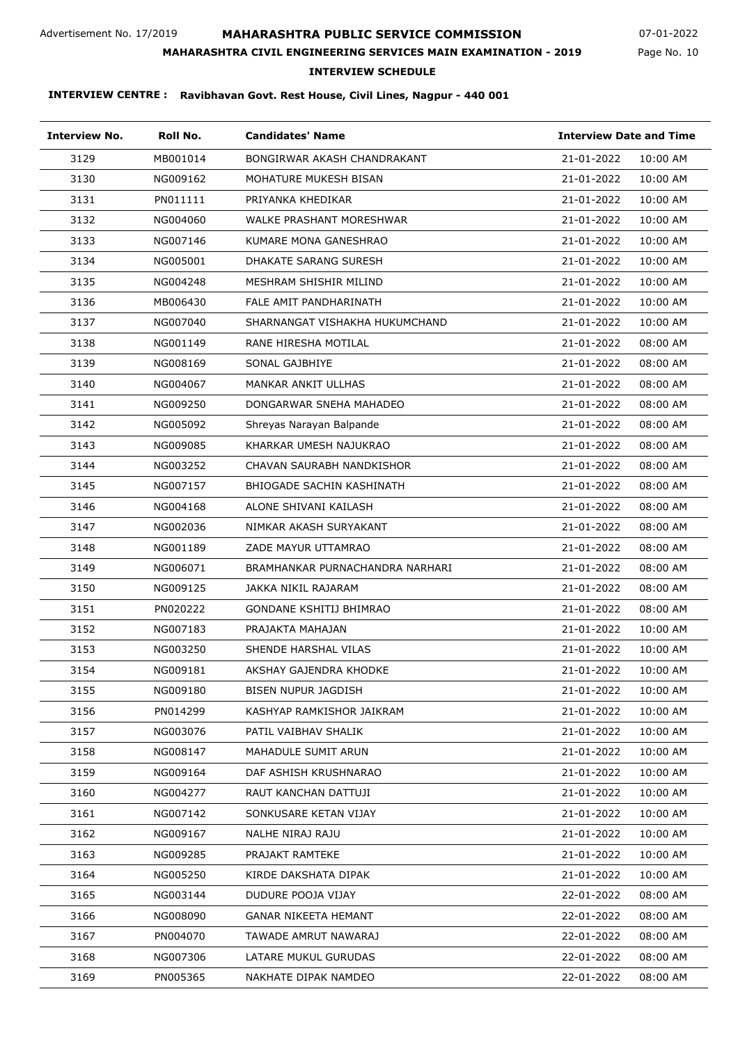## **MAHARASHTRA PUBLIC SERVICE COMMISSION**

Page No. 10 07-01-2022

### **MAHARASHTRA CIVIL ENGINEERING SERVICES MAIN EXAMINATION - 2019**

**INTERVIEW SCHEDULE**

| <b>Interview No.</b> | Roll No. | <b>Candidates' Name</b>         |            | <b>Interview Date and Time</b> |  |
|----------------------|----------|---------------------------------|------------|--------------------------------|--|
| 3129                 | MB001014 | BONGIRWAR AKASH CHANDRAKANT     | 21-01-2022 | 10:00 AM                       |  |
| 3130                 | NG009162 | MOHATURE MUKESH BISAN           | 21-01-2022 | 10:00 AM                       |  |
| 3131                 | PN011111 | PRIYANKA KHEDIKAR               | 21-01-2022 | 10:00 AM                       |  |
| 3132                 | NG004060 | WALKE PRASHANT MORESHWAR        | 21-01-2022 | 10:00 AM                       |  |
| 3133                 | NG007146 | KUMARE MONA GANESHRAO           | 21-01-2022 | 10:00 AM                       |  |
| 3134                 | NG005001 | <b>DHAKATE SARANG SURESH</b>    | 21-01-2022 | 10:00 AM                       |  |
| 3135                 | NG004248 | MESHRAM SHISHIR MILIND          | 21-01-2022 | 10:00 AM                       |  |
| 3136                 | MB006430 | FALE AMIT PANDHARINATH          | 21-01-2022 | 10:00 AM                       |  |
| 3137                 | NG007040 | SHARNANGAT VISHAKHA HUKUMCHAND  | 21-01-2022 | 10:00 AM                       |  |
| 3138                 | NG001149 | RANE HIRESHA MOTILAL            | 21-01-2022 | 08:00 AM                       |  |
| 3139                 | NG008169 | SONAL GAJBHIYE                  | 21-01-2022 | 08:00 AM                       |  |
| 3140                 | NG004067 | MANKAR ANKIT ULLHAS             | 21-01-2022 | 08:00 AM                       |  |
| 3141                 | NG009250 | DONGARWAR SNEHA MAHADEO         | 21-01-2022 | 08:00 AM                       |  |
| 3142                 | NG005092 | Shreyas Narayan Balpande        | 21-01-2022 | 08:00 AM                       |  |
| 3143                 | NG009085 | KHARKAR UMESH NAJUKRAO          | 21-01-2022 | 08:00 AM                       |  |
| 3144                 | NG003252 | CHAVAN SAURABH NANDKISHOR       | 21-01-2022 | 08:00 AM                       |  |
| 3145                 | NG007157 | BHIOGADE SACHIN KASHINATH       | 21-01-2022 | 08:00 AM                       |  |
| 3146                 | NG004168 | ALONE SHIVANI KAILASH           | 21-01-2022 | 08:00 AM                       |  |
| 3147                 | NG002036 | NIMKAR AKASH SURYAKANT          | 21-01-2022 | 08:00 AM                       |  |
| 3148                 | NG001189 | ZADE MAYUR UTTAMRAO             | 21-01-2022 | 08:00 AM                       |  |
| 3149                 | NG006071 | BRAMHANKAR PURNACHANDRA NARHARI | 21-01-2022 | 08:00 AM                       |  |
| 3150                 | NG009125 | JAKKA NIKIL RAJARAM             | 21-01-2022 | 08:00 AM                       |  |
| 3151                 | PN020222 | GONDANE KSHITIJ BHIMRAO         | 21-01-2022 | 08:00 AM                       |  |
| 3152                 | NG007183 | PRAJAKTA MAHAJAN                | 21-01-2022 | 10:00 AM                       |  |
| 3153                 | NG003250 | SHENDE HARSHAL VILAS            | 21-01-2022 | 10:00 AM                       |  |
| 3154                 | NG009181 | AKSHAY GAJENDRA KHODKE          | 21-01-2022 | 10:00 AM                       |  |
| 3155                 | NG009180 | BISEN NUPUR JAGDISH             | 21-01-2022 | 10:00 AM                       |  |
| 3156                 | PN014299 | KASHYAP RAMKISHOR JAIKRAM       | 21-01-2022 | 10:00 AM                       |  |
| 3157                 | NG003076 | PATIL VAIBHAV SHALIK            | 21-01-2022 | 10:00 AM                       |  |
| 3158                 | NG008147 | MAHADULE SUMIT ARUN             | 21-01-2022 | 10:00 AM                       |  |
| 3159                 | NG009164 | DAF ASHISH KRUSHNARAO           | 21-01-2022 | 10:00 AM                       |  |
| 3160                 | NG004277 | RAUT KANCHAN DATTUJI            | 21-01-2022 | 10:00 AM                       |  |
| 3161                 | NG007142 | SONKUSARE KETAN VIJAY           | 21-01-2022 | 10:00 AM                       |  |
| 3162                 | NG009167 | NALHE NIRAJ RAJU                | 21-01-2022 | 10:00 AM                       |  |
| 3163                 | NG009285 | PRAJAKT RAMTEKE                 | 21-01-2022 | 10:00 AM                       |  |
| 3164                 | NG005250 | KIRDE DAKSHATA DIPAK            | 21-01-2022 | 10:00 AM                       |  |
| 3165                 | NG003144 | DUDURE POOJA VIJAY              | 22-01-2022 | 08:00 AM                       |  |
| 3166                 | NG008090 | <b>GANAR NIKEETA HEMANT</b>     | 22-01-2022 | 08:00 AM                       |  |
| 3167                 | PN004070 | TAWADE AMRUT NAWARAJ            | 22-01-2022 | 08:00 AM                       |  |
| 3168                 | NG007306 | LATARE MUKUL GURUDAS            | 22-01-2022 | 08:00 AM                       |  |
| 3169                 | PN005365 | NAKHATE DIPAK NAMDEO            | 22-01-2022 | 08:00 AM                       |  |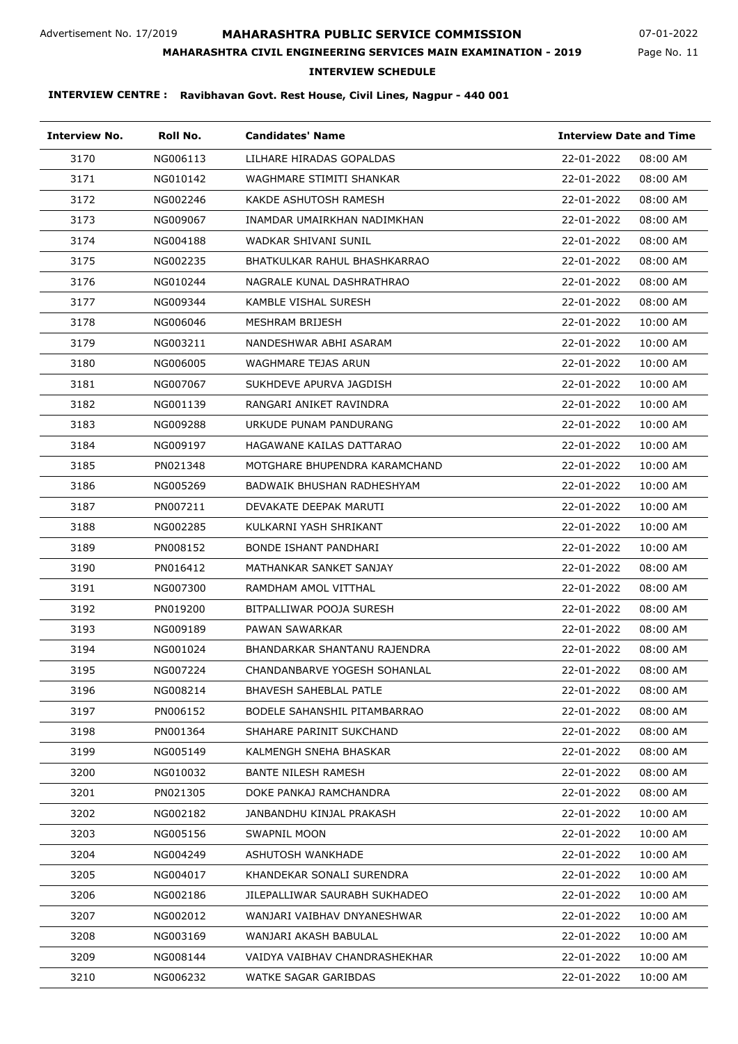## **MAHARASHTRA PUBLIC SERVICE COMMISSION**

**MAHARASHTRA CIVIL ENGINEERING SERVICES MAIN EXAMINATION - 2019**

Page No. 11 07-01-2022

# **INTERVIEW SCHEDULE**

| <b>Interview No.</b> | Roll No. | <b>Candidates' Name</b>       | <b>Interview Date and Time</b> |
|----------------------|----------|-------------------------------|--------------------------------|
| 3170                 | NG006113 | LILHARE HIRADAS GOPALDAS      | 22-01-2022<br>08:00 AM         |
| 3171                 | NG010142 | WAGHMARE STIMITI SHANKAR      | 22-01-2022<br>08:00 AM         |
| 3172                 | NG002246 | KAKDE ASHUTOSH RAMESH         | 22-01-2022<br>08:00 AM         |
| 3173                 | NG009067 | INAMDAR UMAIRKHAN NADIMKHAN   | 22-01-2022<br>08:00 AM         |
| 3174                 | NG004188 | WADKAR SHIVANI SUNIL          | 22-01-2022<br>08:00 AM         |
| 3175                 | NG002235 | BHATKULKAR RAHUL BHASHKARRAO  | 22-01-2022<br>08:00 AM         |
| 3176                 | NG010244 | NAGRALE KUNAL DASHRATHRAO     | 22-01-2022<br>08:00 AM         |
| 3177                 | NG009344 | KAMBLE VISHAL SURESH          | 22-01-2022<br>08:00 AM         |
| 3178                 | NG006046 | MESHRAM BRIJESH               | 22-01-2022<br>10:00 AM         |
| 3179                 | NG003211 | NANDESHWAR ABHI ASARAM        | 22-01-2022<br>10:00 AM         |
| 3180                 | NG006005 | WAGHMARE TEJAS ARUN           | 22-01-2022<br>10:00 AM         |
| 3181                 | NG007067 | SUKHDEVE APURVA JAGDISH       | 22-01-2022<br>10:00 AM         |
| 3182                 | NG001139 | RANGARI ANIKET RAVINDRA       | 22-01-2022<br>10:00 AM         |
| 3183                 | NG009288 | URKUDE PUNAM PANDURANG        | 22-01-2022<br>10:00 AM         |
| 3184                 | NG009197 | HAGAWANE KAILAS DATTARAO      | 22-01-2022<br>10:00 AM         |
| 3185                 | PN021348 | MOTGHARE BHUPENDRA KARAMCHAND | 22-01-2022<br>10:00 AM         |
| 3186                 | NG005269 | BADWAIK BHUSHAN RADHESHYAM    | 22-01-2022<br>10:00 AM         |
| 3187                 | PN007211 | DEVAKATE DEEPAK MARUTI        | 22-01-2022<br>10:00 AM         |
| 3188                 | NG002285 | KULKARNI YASH SHRIKANT        | 22-01-2022<br>10:00 AM         |
| 3189                 | PN008152 | BONDE ISHANT PANDHARI         | 22-01-2022<br>10:00 AM         |
| 3190                 | PN016412 | MATHANKAR SANKET SANJAY       | 22-01-2022<br>08:00 AM         |
| 3191                 | NG007300 | RAMDHAM AMOL VITTHAL          | 22-01-2022<br>08:00 AM         |
| 3192                 | PN019200 | BITPALLIWAR POOJA SURESH      | 22-01-2022<br>08:00 AM         |
| 3193                 | NG009189 | PAWAN SAWARKAR                | 22-01-2022<br>08:00 AM         |
| 3194                 | NG001024 | BHANDARKAR SHANTANU RAJENDRA  | 22-01-2022<br>08:00 AM         |
| 3195                 | NG007224 | CHANDANBARVE YOGESH SOHANLAL  | 08:00 AM<br>22-01-2022         |
| 3196                 | NG008214 | <b>BHAVESH SAHEBLAL PATLE</b> | 22-01-2022<br>08:00 AM         |
| 3197                 | PN006152 | BODELE SAHANSHIL PITAMBARRAO  | 22-01-2022<br>08:00 AM         |
| 3198                 | PN001364 | SHAHARE PARINIT SUKCHAND      | 22-01-2022<br>08:00 AM         |
| 3199                 | NG005149 | KALMENGH SNEHA BHASKAR        | 22-01-2022<br>08:00 AM         |
| 3200                 | NG010032 | BANTE NILESH RAMESH           | 22-01-2022<br>08:00 AM         |
| 3201                 | PN021305 | DOKE PANKAJ RAMCHANDRA        | 22-01-2022<br>08:00 AM         |
| 3202                 | NG002182 | JANBANDHU KINJAL PRAKASH      | 22-01-2022<br>10:00 AM         |
| 3203                 | NG005156 | SWAPNIL MOON                  | 22-01-2022<br>10:00 AM         |
| 3204                 | NG004249 | ASHUTOSH WANKHADE             | 22-01-2022<br>10:00 AM         |
| 3205                 | NG004017 | KHANDEKAR SONALI SURENDRA     | 22-01-2022<br>10:00 AM         |
| 3206                 | NG002186 | JILEPALLIWAR SAURABH SUKHADEO | 22-01-2022<br>10:00 AM         |
| 3207                 | NG002012 | WANJARI VAIBHAV DNYANESHWAR   | 22-01-2022<br>10:00 AM         |
| 3208                 | NG003169 | WANJARI AKASH BABULAL         | 22-01-2022<br>10:00 AM         |
| 3209                 | NG008144 | VAIDYA VAIBHAV CHANDRASHEKHAR | 22-01-2022<br>10:00 AM         |
| 3210                 | NG006232 | WATKE SAGAR GARIBDAS          | 22-01-2022<br>10:00 AM         |